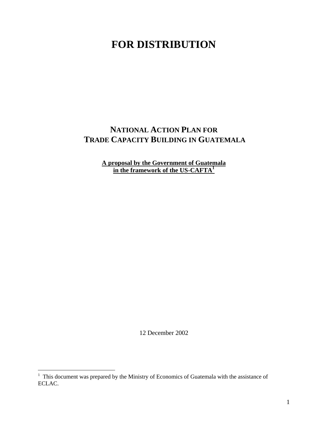# **FOR DISTRIBUTION**

## **NATIONAL ACTION PLAN FOR TRADE CAPACITY BUILDING IN GUATEMALA**

**A proposal by the Government of Guatemala in the framework of the US-CAFTA<sup>1</sup>**

12 December 2002

 1 This document was prepared by the Ministry of Economics of Guatemala with the assistance of ECLAC.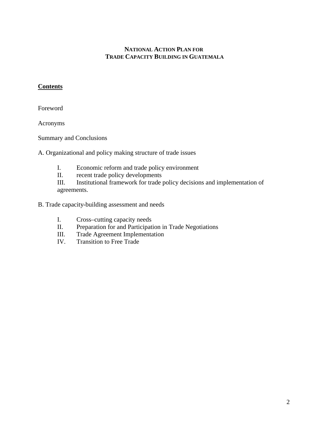#### **NATIONAL ACTION PLAN FOR TRADE CAPACITY BUILDING IN GUATEMALA**

#### **Contents**

Foreword

Acronyms

Summary and Conclusions

A. Organizational and policy making structure of trade issues

- I. Economic reform and trade policy environment
- II. recent trade policy developments

III. Institutional framework for trade policy decisions and implementation of agreements.

B. Trade capacity-building assessment and needs

- I. Cross–cutting capacity needs
- II. Preparation for and Participation in Trade Negotiations
- III. Trade Agreement Implementation
- IV. Transition to Free Trade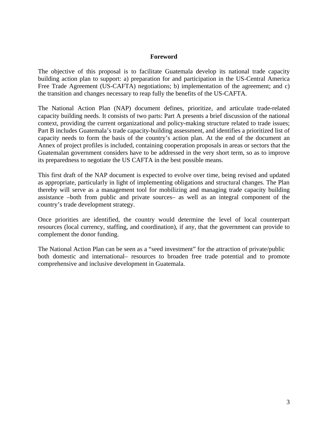#### **Foreword**

The objective of this proposal is to facilitate Guatemala develop its national trade capacity building action plan to support: a) preparation for and participation in the US-Central America Free Trade Agreement (US-CAFTA) negotiations; b) implementation of the agreement; and c) the transition and changes necessary to reap fully the benefits of the US-CAFTA.

The National Action Plan (NAP) document defines, prioritize, and articulate trade-related capacity building needs. It consists of two parts: Part A presents a brief discussion of the national context, providing the current organizational and policy-making structure related to trade issues; Part B includes Guatemala's trade capacity-building assessment, and identifies a prioritized list of capacity needs to form the basis of the country's action plan. At the end of the document an Annex of project profiles is included, containing cooperation proposals in areas or sectors that the Guatemalan government considers have to be addressed in the very short term, so as to improve its preparedness to negotiate the US CAFTA in the best possible means.

This first draft of the NAP document is expected to evolve over time, being revised and updated as appropriate, particularly in light of implementing obligations and structural changes. The Plan thereby will serve as a management tool for mobilizing and managing trade capacity building assistance –both from public and private sources– as well as an integral component of the country's trade development strategy.

Once priorities are identified, the country would determine the level of local counterpart resources (local currency, staffing, and coordination), if any, that the government can provide to complement the donor funding.

The National Action Plan can be seen as a "seed investment" for the attraction of private/public both domestic and international– resources to broaden free trade potential and to promote comprehensive and inclusive development in Guatemala.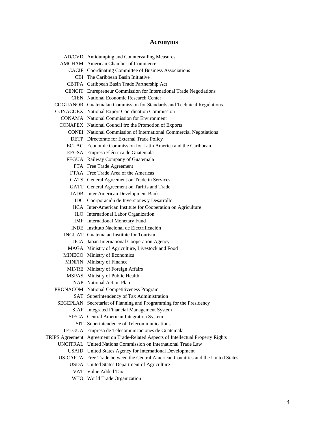#### **Acronyms**

AD/CVD Antidumping and Countervailing Measures AMCHAM American Chamber of Commerce CACIF Coordinating Committee of Business Associations CBI The Caribbean Basin Initiative CBTPA Caribbean Basin Trade Partnership Act CENCIT Entrepreneur Commission for International Trade Negotiations CIEN National Economic Research Center COGUANOR Guatemalan Commission for Standards and Technical Regulations CONACOEX National Export Coordination Commission CONAMA National Commission for Environment CONAPEX National Council fro the Promotion of Exports CONEI National Commission of International Commercial Negotiations DETP Directorate for External Trade Policy ECLAC Economic Commission for Latin America and the Caribbean EEGSA Empresa Eléctrica de Guatemala FEGUA Railway Company of Guatemala FTA Free Trade Agreement FTAA Free Trade Area of the Americas GATS General Agreement on Trade in Services GATT General Agreement on Tariffs and Trade IADB Inter American Development Bank IDC Coorporación de Inversiones y Desarrollo IICA Inter-American Institute for Cooperation on Agriculture ILO International Labor Organization IMF International Monetary Fund INDE Instituto Nacional de Electrificación INGUAT Guatemalan Institute for Tourism JICA Japan International Cooperation Agency MAGA Ministry of Agriculture, Livestock and Food MINECO Ministry of Economics MINFIN Ministry of Finance MINRE Ministry of Foreign Affairs MSPAS Ministry of Public Health NAP National Action Plan PRONACOM National Competitiveness Program SAT Superintendency of Tax Administration SEGEPLAN Secretariat of Planning and Programming for the Presidency SIAF Integrated Financial Management System SIECA Central American Integration System SIT Superintendence of Telecommunications TELGUA Empresa de Telecomunicaciones de Guatemala TRIPS Agreement Agreement on Trade-Related Aspects of Intellectual Property Rights UNCITRAL United Nations Commission on International Trade Law USAID United States Agency for International Development US-CAFTA Free Trade between the Central American Countries and the United States USDA United States Department of Agriculture VAT Value Added Tax

WTO World Trade Organization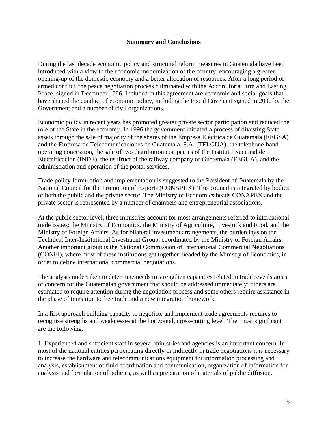#### **Summary and Conclusions**

During the last decade economic policy and structural reform measures in Guatemala have been introduced with a view to the economic modernization of the country, encouraging a greater opening-up of the domestic economy and a better allocation of resources. After a long period of armed conflict, the peace negotiation process culminated with the Accord for a Firm and Lasting Peace, signed in December 1996. Included in this agreement are economic and social goals that have shaped the conduct of economic policy, including the Fiscal Covenant signed in 2000 by the Government and a number of civil organizations.

Economic policy in recent years has promoted greater private sector participation and reduced the role of the State in the economy. In 1996 the government initiated a process of divesting State assets through the sale of majority of the shares of the Empresa Eléctrica de Guatemala (EEGSA) and the Empresa de Telecomunicaciones de Guatemala, S.A. (TELGUA), the telephone-band operating concession, the sale of two distribution companies of the Instituto Nacional de Electrificación (INDE), the usufruct of the railway company of Guatemala (FEGUA), and the administration and operation of the postal services.

Trade policy formulation and implementation is suggested to the President of Guatemala by the National Council for the Promotion of Exports (CONAPEX). This council is integrated by bodies of both the public and the private sector. The Ministry of Economics heads CONAPEX and the private sector is represented by a number of chambers and entrepreneurial associations.

At the public sector level, three ministries account for most arrangements referred to international trade issues: the Ministry of Economics, the Ministry of Agriculture, Livestock and Food, and the Ministry of Foreign Affairs. As for bilateral investment arrangements, the burden lays on the Technical Inter-Institutional Investment Group, coordinated by the Ministry of Foreign Affairs. Another important group is the National Commission of International Commercial Negotiations (CONEI), where most of these institutions get together, headed by the Ministry of Economics, in order to define international commercial negotiations.

The analysis undertaken to determine needs to strengthen capacities related to trade reveals areas of concern for the Guatemalan government that should be addressed immediately; others are estimated to require attention during the negotiation process and some others require assistance in the phase of transition to free trade and a new integration framework.

In a first approach building capacity to negotiate and implement trade agreements requires to recognize strengths and weaknesses at the horizontal, cross-cutting level. The most significant are the following:

1. Experienced and sufficient staff in several ministries and agencies is an important concern. In most of the national entities participating directly or indirectly in trade negotiations it is necessary to increase the hardware and telecommunications equipment for information processing and analysis, establishment of fluid coordination and communication, organization of information for analysis and formulation of policies, as well as preparation of materials of public diffusion.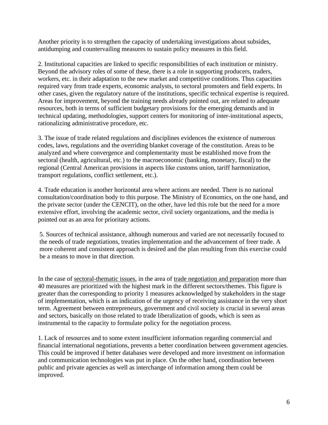Another priority is to strengthen the capacity of undertaking investigations about subsides, antidumping and countervailing measures to sustain policy measures in this field.

2. Institutional capacities are linked to specific responsibilities of each institution or ministry. Beyond the advisory roles of some of these, there is a role in supporting producers, traders, workers, etc. in their adaptation to the new market and competitive conditions. Thus capacities required vary from trade experts, economic analysts, to sectoral promoters and field experts. In other cases, given the regulatory nature of the institutions, specific technical expertise is required. Areas for improvement, beyond the training needs already pointed out, are related to adequate resources, both in terms of sufficient budgetary provisions for the emerging demands and in technical updating, methodologies, support centers for monitoring of inter-institutional aspects, rationalizing administrative procedure, etc.

3. The issue of trade related regulations and disciplines evidences the existence of numerous codes, laws, regulations and the overriding blanket coverage of the constitution. Areas to be analyzed and where convergence and complementarity must be established move from the sectoral (health, agricultural, etc.) to the macroeconomic (banking, monetary, fiscal) to the regional (Central American provisions in aspects like customs union, tariff harmonization, transport regulations, conflict settlement, etc.).

4. Trade education is another horizontal area where actions are needed. There is no national consultation/coordination body to this purpose. The Ministry of Economics, on the one hand, and the private sector (under the CENCIT), on the other, have led this role but the need for a more extensive effort, involving the academic sector, civil society organizations, and the media is pointed out as an area for prioritary actions.

5. Sources of technical assistance, although numerous and varied are not necessarily focused to the needs of trade negotiations, treaties implementation and the advancement of freer trade. A more coherent and consistent approach is desired and the plan resulting from this exercise could be a means to move in that direction.

In the case of sectoral-thematic issues, in the area of trade negotiation and preparation more than 40 measures are prioritized with the highest mark in the different sectors/themes. This figure is greater than the corresponding to priority 1 measures acknowledged by stakeholders in the stage of implementation, which is an indication of the urgency of receiving assistance in the very short term. Agreement between entrepreneurs, government and civil society is crucial in several areas and sectors, basically on those related to trade liberalization of goods, which is seen as instrumental to the capacity to formulate policy for the negotiation process.

1. Lack of resources and to some extent insufficient information regarding commercial and financial international negotiations, prevents a better coordination between government agencies. This could be improved if better databases were developed and more investment on information and communication technologies was put in place. On the other hand, coordination between public and private agencies as well as interchange of information among them could be improved.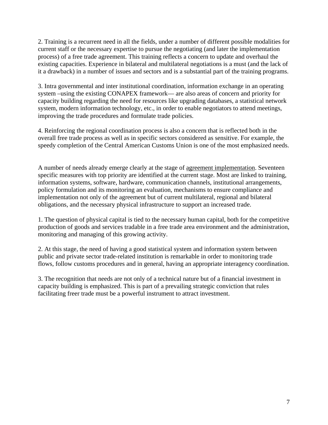2. Training is a recurrent need in all the fields, under a number of different possible modalities for current staff or the necessary expertise to pursue the negotiating (and later the implementation process) of a free trade agreement. This training reflects a concern to update and overhaul the existing capacities. Experience in bilateral and multilateral negotiations is a must (and the lack of it a drawback) in a number of issues and sectors and is a substantial part of the training programs.

3. Intra governmental and inter institutional coordination, information exchange in an operating system –using the existing CONAPEX framework— are also areas of concern and priority for capacity building regarding the need for resources like upgrading databases, a statistical network system, modern information technology, etc., in order to enable negotiators to attend meetings, improving the trade procedures and formulate trade policies.

4. Reinforcing the regional coordination process is also a concern that is reflected both in the overall free trade process as well as in specific sectors considered as sensitive. For example, the speedy completion of the Central American Customs Union is one of the most emphasized needs.

A number of needs already emerge clearly at the stage of agreement implementation. Seventeen specific measures with top priority are identified at the current stage. Most are linked to training, information systems, software, hardware, communication channels, institutional arrangements, policy formulation and its monitoring an evaluation, mechanisms to ensure compliance and implementation not only of the agreement but of current multilateral, regional and bilateral obligations, and the necessary physical infrastructure to support an increased trade.

1. The question of physical capital is tied to the necessary human capital, both for the competitive production of goods and services tradable in a free trade area environment and the administration, monitoring and managing of this growing activity.

2. At this stage, the need of having a good statistical system and information system between public and private sector trade-related institution is remarkable in order to monitoring trade flows, follow customs procedures and in general, having an appropriate interagency coordination.

3. The recognition that needs are not only of a technical nature but of a financial investment in capacity building is emphasized. This is part of a prevailing strategic conviction that rules facilitating freer trade must be a powerful instrument to attract investment.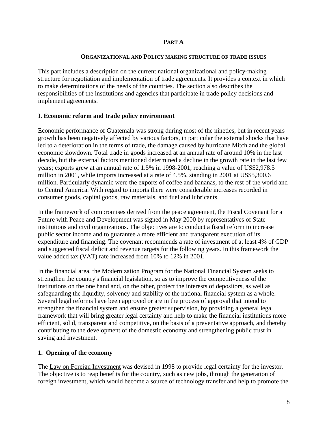#### **PART A**

#### **ORGANIZATIONAL AND POLICY MAKING STRUCTURE OF TRADE ISSUES**

This part includes a description on the current national organizational and policy-making structure for negotiation and implementation of trade agreements. It provides a context in which to make determinations of the needs of the countries. The section also describes the responsibilities of the institutions and agencies that participate in trade policy decisions and implement agreements.

#### **I. Economic reform and trade policy environment**

Economic performance of Guatemala was strong during most of the nineties, but in recent years growth has been negatively affected by various factors, in particular the external shocks that have led to a deterioration in the terms of trade, the damage caused by hurricane Mitch and the global economic slowdown. Total trade in goods increased at an annual rate of around 10% in the last decade, but the external factors mentioned determined a decline in the growth rate in the last few years; exports grew at an annual rate of 1.5% in 1998-2001, reaching a value of US\$2,978.5 million in 2001, while imports increased at a rate of 4.5%, standing in 2001 at US\$5,300.6 million. Particularly dynamic were the exports of coffee and bananas, to the rest of the world and to Central America. With regard to imports there were considerable increases recorded in consumer goods, capital goods, raw materials, and fuel and lubricants.

In the framework of compromises derived from the peace agreement, the Fiscal Covenant for a Future with Peace and Development was signed in May 2000 by representatives of State institutions and civil organizations. The objectives are to conduct a fiscal reform to increase public sector income and to guarantee a more efficient and transparent execution of its expenditure and financing. The covenant recommends a rate of investment of at least 4% of GDP and suggested fiscal deficit and revenue targets for the following years. In this framework the value added tax (VAT) rate increased from 10% to 12% in 2001.

In the financial area, the Modernization Program for the National Financial System seeks to strengthen the country's financial legislation, so as to improve the competitiveness of the institutions on the one hand and, on the other, protect the interests of depositors, as well as safeguarding the liquidity, solvency and stability of the national financial system as a whole. Several legal reforms have been approved or are in the process of approval that intend to strengthen the financial system and ensure greater supervision, by providing a general legal framework that will bring greater legal certainty and help to make the financial institutions more efficient, solid, transparent and competitive, on the basis of a preventative approach, and thereby contributing to the development of the domestic economy and strengthening public trust in saving and investment.

#### **1. Opening of the economy**

The Law on Foreign Investment was devised in 1998 to provide legal certainty for the investor. The objective is to reap benefits for the country, such as new jobs, through the generation of foreign investment, which would become a source of technology transfer and help to promote the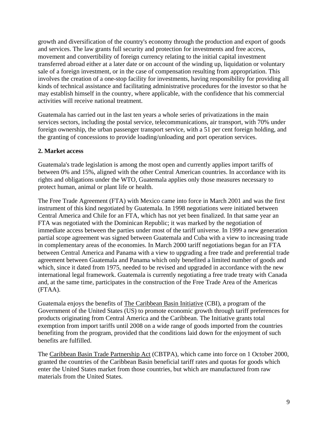growth and diversification of the country's economy through the production and export of goods and services. The law grants full security and protection for investments and free access, movement and convertibility of foreign currency relating to the initial capital investment transferred abroad either at a later date or on account of the winding up, liquidation or voluntary sale of a foreign investment, or in the case of compensation resulting from appropriation. This involves the creation of a one-stop facility for investments, having responsibility for providing all kinds of technical assistance and facilitating administrative procedures for the investor so that he may establish himself in the country, where applicable, with the confidence that his commercial activities will receive national treatment.

Guatemala has carried out in the last ten years a whole series of privatizations in the main services sectors, including the postal service, telecommunications, air transport, with 70% under foreign ownership, the urban passenger transport service, with a 51 per cent foreign holding, and the granting of concessions to provide loading/unloading and port operation services.

#### **2. Market access**

Guatemala's trade legislation is among the most open and currently applies import tariffs of between 0% and 15%, aligned with the other Central American countries. In accordance with its rights and obligations under the WTO, Guatemala applies only those measures necessary to protect human, animal or plant life or health.

The Free Trade Agreement (FTA) with Mexico came into force in March 2001 and was the first instrument of this kind negotiated by Guatemala. In 1998 negotiations were initiated between Central America and Chile for an FTA, which has not yet been finalized. In that same year an FTA was negotiated with the Dominican Republic; it was marked by the negotiation of immediate access between the parties under most of the tariff universe. In 1999 a new generation partial scope agreement was signed between Guatemala and Cuba with a view to increasing trade in complementary areas of the economies. In March 2000 tariff negotiations began for an FTA between Central America and Panama with a view to upgrading a free trade and preferential trade agreement between Guatemala and Panama which only benefited a limited number of goods and which, since it dated from 1975, needed to be revised and upgraded in accordance with the new international legal framework. Guatemala is currently negotiating a free trade treaty with Canada and, at the same time, participates in the construction of the Free Trade Area of the Americas (FTAA).

Guatemala enjoys the benefits of The Caribbean Basin Initiative (CBI), a program of the Government of the United States (US) to promote economic growth through tariff preferences for products originating from Central America and the Caribbean. The Initiative grants total exemption from import tariffs until 2008 on a wide range of goods imported from the countries benefiting from the program, provided that the conditions laid down for the enjoyment of such benefits are fulfilled.

The Caribbean Basin Trade Partnership Act (CBTPA), which came into force on 1 October 2000, granted the countries of the Caribbean Basin beneficial tariff rates and quotas for goods which enter the United States market from those countries, but which are manufactured from raw materials from the United States.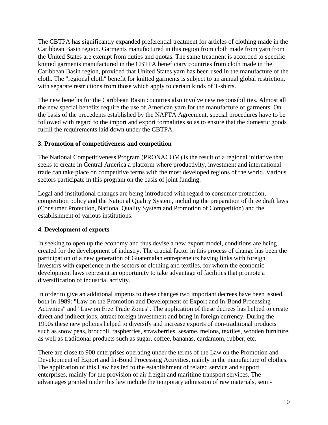The CBTPA has significantly expanded preferential treatment for articles of clothing made in the Caribbean Basin region. Garments manufactured in this region from cloth made from yarn from the United States are exempt from duties and quotas. The same treatment is accorded to specific knitted garments manufactured in the CBTPA beneficiary countries from cloth made in the Caribbean Basin region, provided that United States yarn has been used in the manufacture of the cloth. The "regional cloth" benefit for knitted garments is subject to an annual global restriction, with separate restrictions from those which apply to certain kinds of T-shirts.

The new benefits for the Caribbean Basin countries also involve new responsibilities. Almost all the new special benefits require the use of American yarn for the manufacture of garments. On the basis of the precedents established by the NAFTA Agreement, special procedures have to be followed with regard to the import and export formalities so as to ensure that the domestic goods fulfill the requirements laid down under the CBTPA.

#### **3. Promotion of competitiveness and competition**

The National Competitiveness Program (PRONACOM) is the result of a regional initiative that seeks to create in Central America a platform where productivity, investment and international trade can take place on competitive terms with the most developed regions of the world. Various sectors participate in this program on the basis of joint funding.

Legal and institutional changes are being introduced with regard to consumer protection, competition policy and the National Quality System, including the preparation of three draft laws (Consumer Protection, National Quality System and Promotion of Competition) and the establishment of various institutions.

#### **4. Development of exports**

In seeking to open up the economy and thus devise a new export model, conditions are being created for the development of industry. The crucial factor in this process of change has been the participation of a new generation of Guatemalan entrepreneurs having links with foreign investors with experience in the sectors of clothing and textiles, for whom the economic development laws represent an opportunity to take advantage of facilities that promote a diversification of industrial activity.

In order to give an additional impetus to these changes two important decrees have been issued, both in 1989: "Law on the Promotion and Development of Export and In-Bond Processing Activities" and "Law on Free Trade Zones". The application of these decrees has helped to create direct and indirect jobs, attract foreign investment and bring in foreign currency. During the 1990s these new policies helped to diversify and increase exports of non-traditional products such as snow peas, broccoli, raspberries, strawberries, sesame, melons, textiles, wooden furniture, as well as traditional products such as sugar, coffee, bananas, cardamom, rubber, etc.

There are close to 900 enterprises operating under the terms of the Law on the Promotion and Development of Export and In-Bond Processing Activities, mainly in the manufacture of clothes. The application of this Law has led to the establishment of related service and support enterprises, mainly for the provision of air freight and maritime transport services. The advantages granted under this law include the temporary admission of raw materials, semi-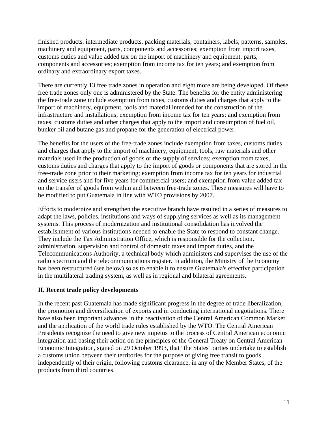finished products, intermediate products, packing materials, containers, labels, patterns, samples, machinery and equipment, parts, components and accessories; exemption from import taxes, customs duties and value added tax on the import of machinery and equipment, parts, components and accessories; exemption from income tax for ten years; and exemption from ordinary and extraordinary export taxes.

There are currently 13 free trade zones in operation and eight more are being developed. Of these free trade zones only one is administered by the State. The benefits for the entity administering the free-trade zone include exemption from taxes, customs duties and charges that apply to the import of machinery, equipment, tools and material intended for the construction of the infrastructure and installations; exemption from income tax for ten years; and exemption from taxes, customs duties and other charges that apply to the import and consumption of fuel oil, bunker oil and butane gas and propane for the generation of electrical power.

The benefits for the users of the free-trade zones include exemption from taxes, customs duties and charges that apply to the import of machinery, equipment, tools, raw materials and other materials used in the production of goods or the supply of services; exemption from taxes, customs duties and charges that apply to the import of goods or components that are stored in the free-trade zone prior to their marketing; exemption from income tax for ten years for industrial and service users and for five years for commercial users; and exemption from value added tax on the transfer of goods from within and between free-trade zones. These measures will have to be modified to put Guatemala in line with WTO provisions by 2007.

Efforts to modernize and strengthen the executive branch have resulted in a series of measures to adapt the laws, policies, institutions and ways of supplying services as well as its management systems. This process of modernization and institutional consolidation has involved the establishment of various institutions needed to enable the State to respond to constant change. They include the Tax Administration Office, which is responsible for the collection, administration, supervision and control of domestic taxes and import duties, and the Telecommunications Authority, a technical body which administers and supervises the use of the radio spectrum and the telecommunications register. In addition, the Ministry of the Economy has been restructured (see below) so as to enable it to ensure Guatemala's effective participation in the multilateral trading system, as well as in regional and bilateral agreements.

#### **II. Recent trade policy developments**

In the recent past Guatemala has made significant progress in the degree of trade liberalization, the promotion and diversification of exports and in conducting international negotiations. There have also been important advances in the reactivation of the Central American Common Market and the application of the world trade rules established by the WTO. The Central American Presidents recognize the need to give new impetus to the process of Central American economic integration and basing their action on the principles of the General Treaty on Central American Economic Integration, signed on 29 October 1993, that "the States' parties undertake to establish a customs union between their territories for the purpose of giving free transit to goods independently of their origin, following customs clearance, in any of the Member States, of the products from third countries.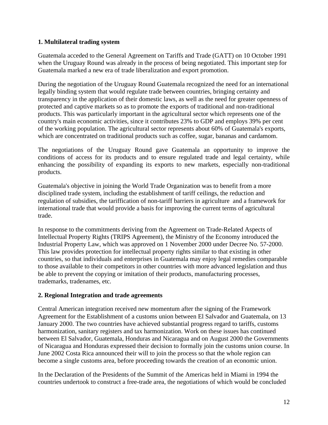#### **1. Multilateral trading system**

Guatemala acceded to the General Agreement on Tariffs and Trade (GATT) on 10 October 1991 when the Uruguay Round was already in the process of being negotiated. This important step for Guatemala marked a new era of trade liberalization and export promotion.

During the negotiation of the Uruguay Round Guatemala recognized the need for an international legally binding system that would regulate trade between countries, bringing certainty and transparency in the application of their domestic laws, as well as the need for greater openness of protected and captive markets so as to promote the exports of traditional and non-traditional products. This was particularly important in the agricultural sector which represents one of the country's main economic activities, since it contributes 23% to GDP and employs 39% per cent of the working population. The agricultural sector represents about 60% of Guatemala's exports, which are concentrated on traditional products such as coffee, sugar, bananas and cardamom.

The negotiations of the Uruguay Round gave Guatemala an opportunity to improve the conditions of access for its products and to ensure regulated trade and legal certainty, while enhancing the possibility of expanding its exports to new markets, especially non-traditional products.

Guatemala's objective in joining the World Trade Organization was to benefit from a more disciplined trade system, including the establishment of tariff ceilings, the reduction and regulation of subsidies, the tariffication of non-tariff barriers in agriculture and a framework for international trade that would provide a basis for improving the current terms of agricultural trade.

In response to the commitments deriving from the Agreement on Trade-Related Aspects of Intellectual Property Rights (TRIPS Agreement), the Ministry of the Economy introduced the Industrial Property Law, which was approved on 1 November 2000 under Decree No. 57-2000. This law provides protection for intellectual property rights similar to that existing in other countries, so that individuals and enterprises in Guatemala may enjoy legal remedies comparable to those available to their competitors in other countries with more advanced legislation and thus be able to prevent the copying or imitation of their products, manufacturing processes, trademarks, tradenames, etc.

#### **2. Regional Integration and trade agreements**

Central American integration received new momentum after the signing of the Framework Agreement for the Establishment of a customs union between El Salvador and Guatemala, on 13 January 2000. The two countries have achieved substantial progress regard to tariffs, customs harmonization, sanitary registers and tax harmonization. Work on these issues has continued between El Salvador, Guatemala, Honduras and Nicaragua and on August 2000 the Governments of Nicaragua and Honduras expressed their decision to formally join the customs union course. In June 2002 Costa Rica announced their will to join the process so that the whole region can become a single customs area, before proceeding towards the creation of an economic union.

In the Declaration of the Presidents of the Summit of the Americas held in Miami in 1994 the countries undertook to construct a free-trade area, the negotiations of which would be concluded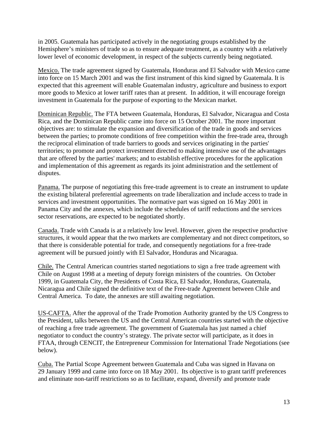in 2005. Guatemala has participated actively in the negotiating groups established by the Hemisphere's ministers of trade so as to ensure adequate treatment, as a country with a relatively lower level of economic development, in respect of the subjects currently being negotiated.

Mexico. The trade agreement signed by Guatemala, Honduras and El Salvador with Mexico came into force on 15 March 2001 and was the first instrument of this kind signed by Guatemala. It is expected that this agreement will enable Guatemalan industry, agriculture and business to export more goods to Mexico at lower tariff rates than at present. In addition, it will encourage foreign investment in Guatemala for the purpose of exporting to the Mexican market.

Dominican Republic. The FTA between Guatemala, Honduras, El Salvador, Nicaragua and Costa Rica, and the Dominican Republic came into force on 15 October 2001. The more important objectives are: to stimulate the expansion and diversification of the trade in goods and services between the parties; to promote conditions of free competition within the free-trade area, through the reciprocal elimination of trade barriers to goods and services originating in the parties' territories; to promote and protect investment directed to making intensive use of the advantages that are offered by the parties' markets; and to establish effective procedures for the application and implementation of this agreement as regards its joint administration and the settlement of disputes.

Panama. The purpose of negotiating this free-trade agreement is to create an instrument to update the existing bilateral preferential agreements on trade liberalization and include access to trade in services and investment opportunities. The normative part was signed on 16 May 2001 in Panama City and the annexes, which include the schedules of tariff reductions and the services sector reservations, are expected to be negotiated shortly.

Canada. Trade with Canada is at a relatively low level. However, given the respective productive structures, it would appear that the two markets are complementary and not direct competitors, so that there is considerable potential for trade, and consequently negotiations for a free-trade agreement will be pursued jointly with El Salvador, Honduras and Nicaragua.

Chile. The Central American countries started negotiations to sign a free trade agreement with Chile on August 1998 at a meeting of deputy foreign ministers of the countries. On October 1999, in Guatemala City, the Presidents of Costa Rica, El Salvador, Honduras, Guatemala, Nicaragua and Chile signed the definitive text of the Free-trade Agreement between Chile and Central America. To date, the annexes are still awaiting negotiation.

US-CAFTA. After the approval of the Trade Promotion Authority granted by the US Congress to the President, talks between the US and the Central American countries started with the objective of reaching a free trade agreement. The government of Guatemala has just named a chief negotiator to conduct the country's strategy. The private sector will participate, as it does in FTAA, through CENCIT, the Entrepreneur Commission for International Trade Negotiations (see below).

Cuba. The Partial Scope Agreement between Guatemala and Cuba was signed in Havana on 29 January 1999 and came into force on 18 May 2001. Its objective is to grant tariff preferences and eliminate non-tariff restrictions so as to facilitate, expand, diversify and promote trade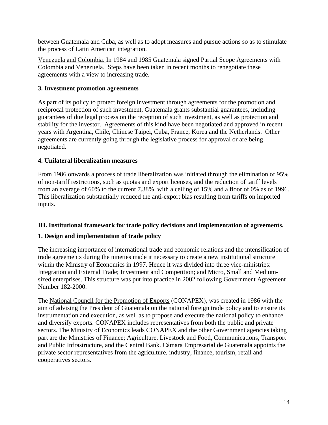between Guatemala and Cuba, as well as to adopt measures and pursue actions so as to stimulate the process of Latin American integration.

Venezuela and Colombia. In 1984 and 1985 Guatemala signed Partial Scope Agreements with Colombia and Venezuela. Steps have been taken in recent months to renegotiate these agreements with a view to increasing trade.

#### **3. Investment promotion agreements**

As part of its policy to protect foreign investment through agreements for the promotion and reciprocal protection of such investment, Guatemala grants substantial guarantees, including guarantees of due legal process on the reception of such investment, as well as protection and stability for the investor. Agreements of this kind have been negotiated and approved in recent years with Argentina, Chile, Chinese Taipei, Cuba, France, Korea and the Netherlands. Other agreements are currently going through the legislative process for approval or are being negotiated.

#### **4. Unilateral liberalization measures**

From 1986 onwards a process of trade liberalization was initiated through the elimination of 95% of non-tariff restrictions, such as quotas and export licenses, and the reduction of tariff levels from an average of 60% to the current 7.38%, with a ceiling of 15% and a floor of 0% as of 1996. This liberalization substantially reduced the anti-export bias resulting from tariffs on imported inputs.

#### **III. Institutional framework for trade policy decisions and implementation of agreements.**

#### **1. Design and implementation of trade policy**

The increasing importance of international trade and economic relations and the intensification of trade agreements during the nineties made it necessary to create a new institutional structure within the Ministry of Economics in 1997. Hence it was divided into three vice-ministries: Integration and External Trade; Investment and Competition; and Micro, Small and Mediumsized enterprises. This structure was put into practice in 2002 following Government Agreement Number 182-2000.

The National Council for the Promotion of Exports (CONAPEX), was created in 1986 with the aim of advising the President of Guatemala on the national foreign trade policy and to ensure its instrumentation and execution, as well as to propose and execute the national policy to enhance and diversify exports. CONAPEX includes representatives from both the public and private sectors. The Ministry of Economics leads CONAPEX and the other Government agencies taking part are the Ministries of Finance; Agriculture, Livestock and Food, Communications, Transport and Public Infrastructure, and the Central Bank. Cámara Empresarial de Guatemala appoints the private sector representatives from the agriculture, industry, finance, tourism, retail and cooperatives sectors.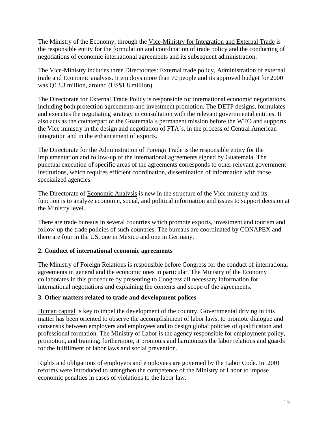The Ministry of the Economy, through the Vice-Ministry for Integration and External Trade is the responsible entity for the formulation and coordination of trade policy and the conducting of negotiations of economic international agreements and its subsequent administration.

The Vice-Ministry includes three Directorates: External trade policy, Administration of external trade and Economic analysis. It employs more than 70 people and its approved budget for 2000 was Q13.3 million, around (US\$1.8 million).

The Directorate for External Trade Policy is responsible for international economic negotiations, including both protection agreements and investment promotion. The DETP designs, formulates and executes the negotiating strategy in consultation with the relevant governmental entities. It also acts as the counterpart of the Guatemala´s permanent mission before the WTO and supports the Vice ministry in the design and negotiation of FTA´s, in the process of Central American integration and in the enhancement of exports.

The Directorate for the Administration of Foreign Trade is the responsible entity for the implementation and follow-up of the international agreements signed by Guatemala. The punctual execution of specific areas of the agreements corresponds to other relevant government institutions, which requires efficient coordination, dissemination of information with those specialized agencies.

The Directorate of Economic Analysis is new in the structure of the Vice ministry and its function is to analyze economic, social, and political information and issues to support decision at the Ministry level.

There are trade bureaus in several countries which promote exports, investment and tourism and follow-up the trade policies of such countries. The bureaus are coordinated by CONAPEX and there are four in the US, one in Mexico and one in Germany.

#### **2. Conduct of international economic agreements**

The Ministry of Foreign Relations is responsible before Congress for the conduct of international agreements in general and the economic ones in particular. The Ministry of the Economy collaborates in this procedure by presenting to Congress all necessary information for international negotiations and explaining the contents and scope of the agreements.

#### **3. Other matters related to trade and development polices**

Human capital is key to impel the development of the country. Governmental driving in this matter has been oriented to observe the accomplishment of labor laws, to promote dialogue and consensus between employers and employees and to design global policies of qualification and professional formation. The Ministry of Labor is the agency responsible for employment policy, promotion, and training; furthermore, it promotes and harmonizes the labor relations and guards for the fulfillment of labor laws and social prevention.

Rights and obligations of employers and employees are governed by the Labor Code. In 2001 reforms were introduced to strengthen the competence of the Ministry of Labor to impose economic penalties in cases of violations to the labor law.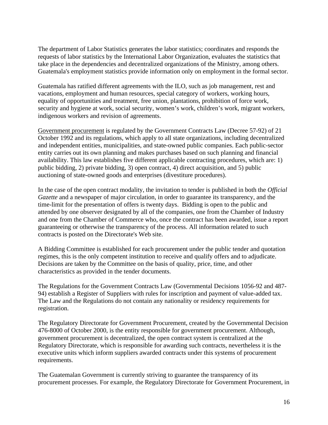The department of Labor Statistics generates the labor statistics; coordinates and responds the requests of labor statistics by the International Labor Organization, evaluates the statistics that take place in the dependencies and decentralized organizations of the Ministry, among others. Guatemala's employment statistics provide information only on employment in the formal sector.

Guatemala has ratified different agreements with the ILO, such as job management, rest and vacations, employment and human resources, special category of workers, working hours, equality of opportunities and treatment, free union, plantations, prohibition of force work, security and hygiene at work, social security, women's work, children's work, migrant workers, indigenous workers and revision of agreements.

Government procurement is regulated by the Government Contracts Law (Decree 57-92) of 21 October 1992 and its regulations, which apply to all state organizations, including decentralized and independent entities, municipalities, and state-owned public companies. Each public-sector entity carries out its own planning and makes purchases based on such planning and financial availability. This law establishes five different applicable contracting procedures, which are: 1) public bidding, 2) private bidding, 3) open contract, 4) direct acquisition, and 5) public auctioning of state-owned goods and enterprises (divestiture procedures).

In the case of the open contract modality, the invitation to tender is published in both the *Official Gazette* and a newspaper of major circulation, in order to guarantee its transparency, and the time-limit for the presentation of offers is twenty days. Bidding is open to the public and attended by one observer designated by all of the companies, one from the Chamber of Industry and one from the Chamber of Commerce who, once the contract has been awarded, issue a report guaranteeing or otherwise the transparency of the process. All information related to such contracts is posted on the Directorate's Web site.

A Bidding Committee is established for each procurement under the public tender and quotation regimes, this is the only competent institution to receive and qualify offers and to adjudicate. Decisions are taken by the Committee on the basis of quality, price, time, and other characteristics as provided in the tender documents.

The Regulations for the Government Contracts Law (Governmental Decisions 1056-92 and 487- 94) establish a Register of Suppliers with rules for inscription and payment of value-added tax. The Law and the Regulations do not contain any nationality or residency requirements for registration.

The Regulatory Directorate for Government Procurement, created by the Governmental Decision 476-8000 of October 2000, is the entity responsible for government procurement. Although, government procurement is decentralized, the open contract system is centralized at the Regulatory Directorate, which is responsible for awarding such contracts, nevertheless it is the executive units which inform suppliers awarded contracts under this systems of procurement requirements.

The Guatemalan Government is currently striving to guarantee the transparency of its procurement processes. For example, the Regulatory Directorate for Government Procurement, in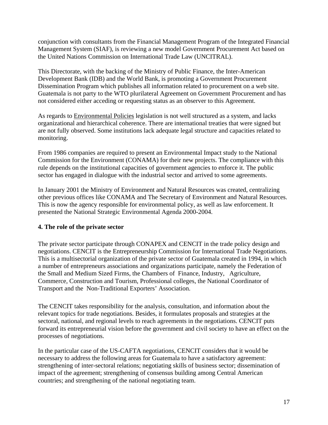conjunction with consultants from the Financial Management Program of the Integrated Financial Management System (SIAF), is reviewing a new model Government Procurement Act based on the United Nations Commission on International Trade Law (UNCITRAL).

This Directorate, with the backing of the Ministry of Public Finance, the Inter-American Development Bank (IDB) and the World Bank, is promoting a Government Procurement Dissemination Program which publishes all information related to procurement on a web site. Guatemala is not party to the WTO plurilateral Agreement on Government Procurement and has not considered either acceding or requesting status as an observer to this Agreement.

As regards to Environmental Policies legislation is not well structured as a system, and lacks organizational and hierarchical coherence. There are international treaties that were signed but are not fully observed. Some institutions lack adequate legal structure and capacities related to monitoring.

From 1986 companies are required to present an Environmental Impact study to the National Commission for the Environment (CONAMA) for their new projects. The compliance with this rule depends on the institutional capacities of government agencies to enforce it. The public sector has engaged in dialogue with the industrial sector and arrived to some agreements.

In January 2001 the Ministry of Environment and Natural Resources was created, centralizing other previous offices like CONAMA and The Secretary of Environment and Natural Resources. This is now the agency responsible for environmental policy, as well as law enforcement. It presented the National Strategic Environmental Agenda 2000-2004.

#### **4. The role of the private sector**

The private sector participate through CONAPEX and CENCIT in the trade policy design and negotiations. CENCIT is the Entrepreneurship Commission for International Trade Negotiations. This is a multisectorial organization of the private sector of Guatemala created in 1994, in which a number of entrepreneurs associations and organizations participate, namely the Federation of the Small and Medium Sized Firms, the Chambers of Finance, Industry, Agriculture, Commerce, Construction and Tourism, Professional colleges, the National Coordinator of Transport and the Non-Traditional Exporters' Association.

The CENCIT takes responsibility for the analysis, consultation, and information about the relevant topics for trade negotiations. Besides, it formulates proposals and strategies at the sectoral, national, and regional levels to reach agreements in the negotiations. CENCIT puts forward its entrepreneurial vision before the government and civil society to have an effect on the processes of negotiations.

In the particular case of the US-CAFTA negotiations, CENCIT considers that it would be necessary to address the following areas for Guatemala to have a satisfactory agreement: strengthening of inter-sectoral relations; negotiating skills of business sector; dissemination of impact of the agreement; strengthening of consensus building among Central American countries; and strengthening of the national negotiating team.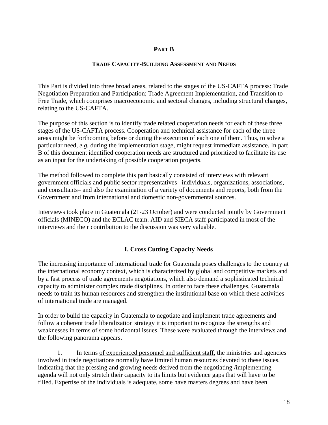#### **PART B**

#### **TRADE CAPACITY-BUILDING ASSESSMENT AND NEEDS**

This Part is divided into three broad areas, related to the stages of the US-CAFTA process: Trade Negotiation Preparation and Participation; Trade Agreement Implementation, and Transition to Free Trade, which comprises macroeconomic and sectoral changes, including structural changes, relating to the US-CAFTA.

The purpose of this section is to identify trade related cooperation needs for each of these three stages of the US-CAFTA process. Cooperation and technical assistance for each of the three areas might be forthcoming before or during the execution of each one of them. Thus, to solve a particular need, *e.g.* during the implementation stage, might request immediate assistance. In part B of this document identified cooperation needs are structured and prioritized to facilitate its use as an input for the undertaking of possible cooperation projects.

The method followed to complete this part basically consisted of interviews with relevant government officials and public sector representatives –individuals, organizations, associations, and consultants– and also the examination of a variety of documents and reports, both from the Government and from international and domestic non-governmental sources.

Interviews took place in Guatemala (21-23 October) and were conducted jointly by Government officials (MINECO) and the ECLAC team. AID and SIECA staff participated in most of the interviews and their contribution to the discussion was very valuable.

#### **I. Cross Cutting Capacity Needs**

The increasing importance of international trade for Guatemala poses challenges to the country at the international economy context, which is characterized by global and competitive markets and by a fast process of trade agreements negotiations, which also demand a sophisticated technical capacity to administer complex trade disciplines. In order to face these challenges, Guatemala needs to train its human resources and strengthen the institutional base on which these activities of international trade are managed.

In order to build the capacity in Guatemala to negotiate and implement trade agreements and follow a coherent trade liberalization strategy it is important to recognize the strengths and weaknesses in terms of some horizontal issues. These were evaluated through the interviews and the following panorama appears.

1. In terms of experienced personnel and sufficient staff, the ministries and agencies involved in trade negotiations normally have limited human resources devoted to these issues, indicating that the pressing and growing needs derived from the negotiating /implementing agenda will not only stretch their capacity to its limits but evidence gaps that will have to be filled. Expertise of the individuals is adequate, some have masters degrees and have been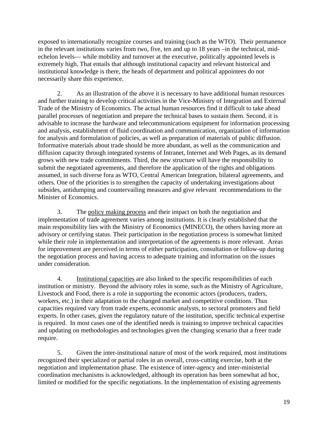exposed to internationally recognize courses and training (such as the WTO). Their permanence in the relevant institutions varies from two, five, ten and up to 18 years –in the technical, midechelon levels— while mobility and turnover at the executive, politically appointed levels is extremely high. That entails that although institutional capacity and relevant historical and institutional knowledge is there, the heads of department and political appointees do not necessarily share this experience.

2. As an illustration of the above it is necessary to have additional human resources and further training to develop critical activities in the Vice-Ministry of Integration and External Trade of the Ministry of Economics. The actual human resources find it difficult to take ahead parallel processes of negotiation and prepare the technical bases to sustain them. Second, it is advisable to increase the hardware and telecommunications equipment for information processing and analysis, establishment of fluid coordination and communication, organization of information for analysis and formulation of policies, as well as preparation of materials of public diffusion. Informative materials about trade should be more abundant, as well as the communication and diffusion capacity through integrated systems of Intranet, Internet and Web Pages, as its demand grows with new trade commitments. Third, the new structure will have the responsibility to submit the negotiated agreements, and therefore the application of the rights and obligations assumed, in such diverse fora as WTO, Central American Integration, bilateral agreements, and others. One of the priorities is to strengthen the capacity of undertaking investigations about subsides, antidumping and countervailing measures and give relevant recommendations to the Minister of Economics.

3. The policy making process and their impact on both the negotiation and implementation of trade agreement varies among institutions. It is clearly established that the main responsibility lies with the Ministry of Economics (MINECO), the others having more an advisory or certifying status. Their participation in the negotiation process is somewhat limited while their role in implementation and interpretation of the agreements is more relevant. Areas for improvement are perceived in terms of either participation, consultation or follow-up during the negotiation process and having access to adequate training and information on the issues under consideration.

4. Institutional capacities are also linked to the specific responsibilities of each institution or ministry. Beyond the advisory roles in some, such as the Ministry of Agriculture, Livestock and Food, there is a role in supporting the economic actors (producers, traders, workers, etc.) in their adaptation to the changed market and competitive conditions. Thus capacities required vary from trade experts, economic analysts, to sectoral promoters and field experts. In other cases, given the regulatory nature of the institution, specific technical expertise is required. In most cases one of the identified needs is training to improve technical capacities and updating on methodologies and technologies given the changing scenario that a freer trade require.

5. Given the inter-institutional nature of most of the work required, most institutions recognized their specialized or partial roles in an overall, cross-cutting exercise, both at the negotiation and implementation phase. The existence of inter-agency and inter-ministerial coordination mechanisms is acknowledged, although its operation has been somewhat ad hoc, limited or modified for the specific negotiations. In the implementation of existing agreements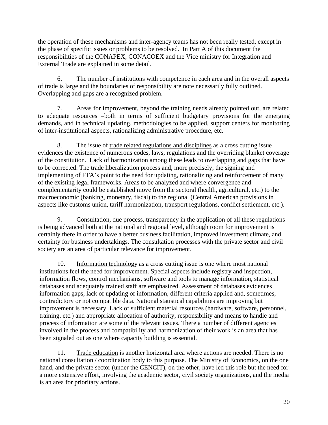the operation of these mechanisms and inter-agency teams has not been really tested, except in the phase of specific issues or problems to be resolved. In Part A of this document the responsibilities of the CONAPEX, CONACOEX and the Vice ministry for Integration and External Trade are explained in some detail.

6. The number of institutions with competence in each area and in the overall aspects of trade is large and the boundaries of responsibility are note necessarily fully outlined. Overlapping and gaps are a recognized problem.

7. Areas for improvement, beyond the training needs already pointed out, are related to adequate resources –both in terms of sufficient budgetary provisions for the emerging demands, and in technical updating, methodologies to be applied, support centers for monitoring of inter-institutional aspects, rationalizing administrative procedure, etc.

8. The issue of trade related regulations and disciplines as a cross cutting issue evidences the existence of numerous codes, laws, regulations and the overriding blanket coverage of the constitution. Lack of harmonization among these leads to overlapping and gaps that have to be corrected. The trade liberalization process and, more precisely, the signing and implementing of FTA's point to the need for updating, rationalizing and reinforcement of many of the existing legal frameworks. Areas to be analyzed and where convergence and complementarity could be established move from the sectoral (health, agricultural, etc.) to the macroeconomic (banking, monetary, fiscal) to the regional (Central American provisions in aspects like customs union, tariff harmonization, transport regulations, conflict settlement, etc.).

9. Consultation, due process, transparency in the application of all these regulations is being advanced both at the national and regional level, although room for improvement is certainly there in order to have a better business facilitation, improved investment climate, and certainty for business undertakings. The consultation processes with the private sector and civil society are an area of particular relevance for improvement.

10. Information technology as a cross cutting issue is one where most national institutions feel the need for improvement. Special aspects include registry and inspection, information flows, control mechanisms, software and tools to manage information, statistical databases and adequately trained staff are emphasized. Assessment of databases evidences information gaps, lack of updating of information, different criteria applied and, sometimes, contradictory or not compatible data. National statistical capabilities are improving but improvement is necessary. Lack of sufficient material resources (hardware, software, personnel, training, etc.) and appropriate allocation of authority, responsibility and means to handle and process of information are some of the relevant issues. There a number of different agencies involved in the process and compatibility and harmonization of their work is an area that has been signaled out as one where capacity building is essential.

11. Trade education is another horizontal area where actions are needed. There is no national consultation / coordination body to this purpose. The Ministry of Economics, on the one hand, and the private sector (under the CENCIT), on the other, have led this role but the need for a more extensive effort, involving the academic sector, civil society organizations, and the media is an area for prioritary actions.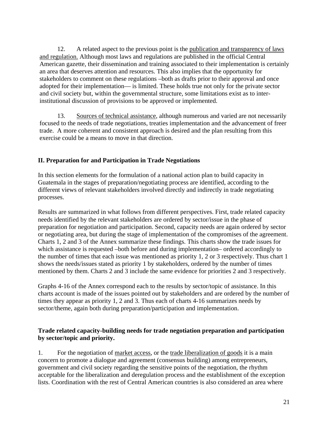12. A related aspect to the previous point is the publication and transparency of laws and regulation. Although most laws and regulations are published in the official Central American gazette, their dissemination and training associated to their implementation is certainly an area that deserves attention and resources. This also implies that the opportunity for stakeholders to comment on these regulations –both as drafts prior to their approval and once adopted for their implementation— is limited. These holds true not only for the private sector and civil society but, within the governmental structure, some limitations exist as to interinstitutional discussion of provisions to be approved or implemented.

13. Sources of technical assistance, although numerous and varied are not necessarily focused to the needs of trade negotiations, treaties implementation and the advancement of freer trade. A more coherent and consistent approach is desired and the plan resulting from this exercise could be a means to move in that direction.

#### **II. Preparation for and Participation in Trade Negotiations**

In this section elements for the formulation of a national action plan to build capacity in Guatemala in the stages of preparation/negotiating process are identified, according to the different views of relevant stakeholders involved directly and indirectly in trade negotiating processes.

Results are summarized in what follows from different perspectives. First, trade related capacity needs identified by the relevant stakeholders are ordered by sector/issue in the phase of preparation for negotiation and participation. Second, capacity needs are again ordered by sector or negotiating area, but during the stage of implementation of the compromises of the agreement. Charts 1, 2 and 3 of the Annex summarize these findings. This charts show the trade issues for which assistance is requested –both before and during implementation– ordered accordingly to the number of times that each issue was mentioned as priority 1, 2 or 3 respectively. Thus chart 1 shows the needs/issues stated as priority 1 by stakeholders, ordered by the number of times mentioned by them. Charts 2 and 3 include the same evidence for priorities 2 and 3 respectively.

Graphs 4-16 of the Annex correspond each to the results by sector/topic of assistance. In this charts account is made of the issues pointed out by stakeholders and are ordered by the number of times they appear as priority 1, 2 and 3. Thus each of charts 4-16 summarizes needs by sector/theme, again both during preparation/participation and implementation.

#### **Trade related capacity-building needs for trade negotiation preparation and participation by sector/topic and priority.**

1. For the negotiation of market access, or the trade liberalization of goods it is a main concern to promote a dialogue and agreement (consensus building) among entrepreneurs, government and civil society regarding the sensitive points of the negotiation, the rhythm acceptable for the liberalization and deregulation process and the establishment of the exception lists. Coordination with the rest of Central American countries is also considered an area where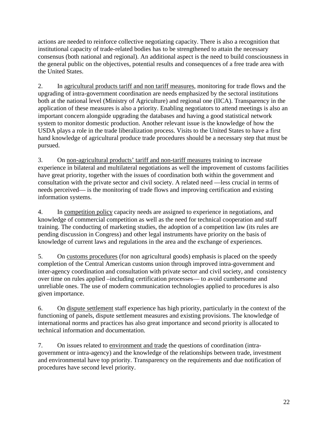actions are needed to reinforce collective negotiating capacity. There is also a recognition that institutional capacity of trade-related bodies has to be strengthened to attain the necessary consensus (both national and regional). An additional aspect is the need to build consciousness in the general public on the objectives, potential results and consequences of a free trade area with the United States.

2. In agricultural products tariff and non tariff measures, monitoring for trade flows and the upgrading of intra-government coordination are needs emphasized by the sectoral institutions both at the national level (Ministry of Agriculture) and regional one (IICA). Transparency in the application of these measures is also a priority. Enabling negotiators to attend meetings is also an important concern alongside upgrading the databases and having a good statistical network system to monitor domestic production. Another relevant issue is the knowledge of how the USDA plays a role in the trade liberalization process. Visits to the United States to have a first hand knowledge of agricultural produce trade procedures should be a necessary step that must be pursued.

3. On non-agricultural products' tariff and non-tariff measures training to increase experience in bilateral and multilateral negotiations as well the improvement of customs facilities have great priority, together with the issues of coordination both within the government and consultation with the private sector and civil society. A related need —less crucial in terms of needs perceived— is the monitoring of trade flows and improving certification and existing information systems.

4. In competition policy capacity needs are assigned to experience in negotiations, and knowledge of commercial competition as well as the need for technical cooperation and staff training. The conducting of marketing studies, the adoption of a competition law (its rules are pending discussion in Congress) and other legal instruments have priority on the basis of knowledge of current laws and regulations in the area and the exchange of experiences.

5. On customs procedures (for non agricultural goods) emphasis is placed on the speedy completion of the Central American customs union through improved intra-government and inter-agency coordination and consultation with private sector and civil society, and consistency over time on rules applied –including certification processes— to avoid cumbersome and unreliable ones. The use of modern communication technologies applied to procedures is also given importance.

6. On dispute settlement staff experience has high priority, particularly in the context of the functioning of panels, dispute settlement measures and existing provisions. The knowledge of international norms and practices has also great importance and second priority is allocated to technical information and documentation.

7. On issues related to environment and trade the questions of coordination (intragovernment or intra-agency) and the knowledge of the relationships between trade, investment and environmental have top priority. Transparency on the requirements and due notification of procedures have second level priority.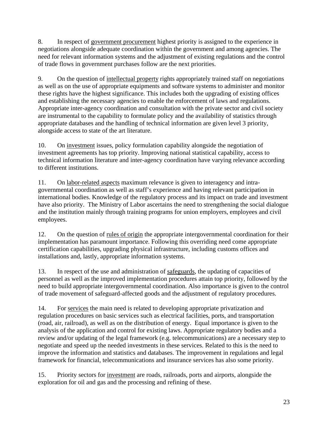8. In respect of government procurement highest priority is assigned to the experience in negotiations alongside adequate coordination within the government and among agencies. The need for relevant information systems and the adjustment of existing regulations and the control of trade flows in government purchases follow are the next priorities.

9. On the question of intellectual property rights appropriately trained staff on negotiations as well as on the use of appropriate equipments and software systems to administer and monitor these rights have the highest significance. This includes both the upgrading of existing offices and establishing the necessary agencies to enable the enforcement of laws and regulations. Appropriate inter-agency coordination and consultation with the private sector and civil society are instrumental to the capability to formulate policy and the availability of statistics through appropriate databases and the handling of technical information are given level 3 priority, alongside access to state of the art literature.

10. On investment issues, policy formulation capability alongside the negotiation of investment agreements has top priority. Improving national statistical capability, access to technical information literature and inter-agency coordination have varying relevance according to different institutions.

11. On labor-related aspects maximum relevance is given to interagency and intragovernmental coordination as well as staff's experience and having relevant participation in international bodies. Knowledge of the regulatory process and its impact on trade and investment have also priority. The Ministry of Labor ascertains the need to strengthening the social dialogue and the institution mainly through training programs for union employers, employees and civil employees.

12. On the question of rules of origin the appropriate intergovernmental coordination for their implementation has paramount importance. Following this overriding need come appropriate certification capabilities, upgrading physical infrastructure, including customs offices and installations and, lastly, appropriate information systems.

13. In respect of the use and administration of safeguards, the updating of capacities of personnel as well as the improved implementation procedures attain top priority, followed by the need to build appropriate intergovernmental coordination. Also importance is given to the control of trade movement of safeguard-affected goods and the adjustment of regulatory procedures.

14. For services the main need is related to developing appropriate privatization and regulation procedures on basic services such as electrical facilities, ports, and transportation (road, air, railroad), as well as on the distribution of energy. Equal importance is given to the analysis of the application and control for existing laws. Appropriate regulatory bodies and a review and/or updating of the legal framework (e.g. telecommunications) are a necessary step to negotiate and speed up the needed investments in these services. Related to this is the need to improve the information and statistics and databases. The improvement in regulations and legal framework for financial, telecommunications and insurance services has also some priority.

15. Priority sectors for investment are roads, railroads, ports and airports, alongside the exploration for oil and gas and the processing and refining of these.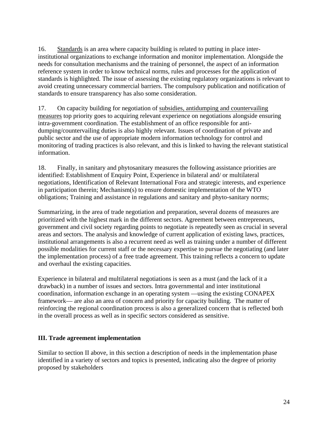16. Standards is an area where capacity building is related to putting in place interinstitutional organizations to exchange information and monitor implementation. Alongside the needs for consultation mechanisms and the training of personnel, the aspect of an information reference system in order to know technical norms, rules and processes for the application of standards is highlighted. The issue of assessing the existing regulatory organizations is relevant to avoid creating unnecessary commercial barriers. The compulsory publication and notification of standards to ensure transparency has also some consideration.

17. On capacity building for negotiation of subsidies, antidumping and countervailing measures top priority goes to acquiring relevant experience on negotiations alongside ensuring intra-government coordination. The establishment of an office responsible for antidumping/countervailing duties is also highly relevant. Issues of coordination of private and public sector and the use of appropriate modern information technology for control and monitoring of trading practices is also relevant, and this is linked to having the relevant statistical information.

18. Finally, in sanitary and phytosanitary measures the following assistance priorities are identified: Establishment of Enquiry Point, Experience in bilateral and/ or multilateral negotiations, Identification of Relevant International Fora and strategic interests, and experience in participation therein; Mechanism(s) to ensure domestic implementation of the WTO obligations; Training and assistance in regulations and sanitary and phyto-sanitary norms;

Summarizing, in the area of trade negotiation and preparation, several dozens of measures are prioritized with the highest mark in the different sectors. Agreement between entrepreneurs, government and civil society regarding points to negotiate is repeatedly seen as crucial in several areas and sectors. The analysis and knowledge of current application of existing laws, practices, institutional arrangements is also a recurrent need as well as training under a number of different possible modalities for current staff or the necessary expertise to pursue the negotiating (and later the implementation process) of a free trade agreement. This training reflects a concern to update and overhaul the existing capacities.

Experience in bilateral and multilateral negotiations is seen as a must (and the lack of it a drawback) in a number of issues and sectors. Intra governmental and inter institutional coordination, information exchange in an operating system —using the existing CONAPEX framework— are also an area of concern and priority for capacity building. The matter of reinforcing the regional coordination process is also a generalized concern that is reflected both in the overall process as well as in specific sectors considered as sensitive.

#### **III. Trade agreement implementation**

Similar to section II above, in this section a description of needs in the implementation phase identified in a variety of sectors and topics is presented, indicating also the degree of priority proposed by stakeholders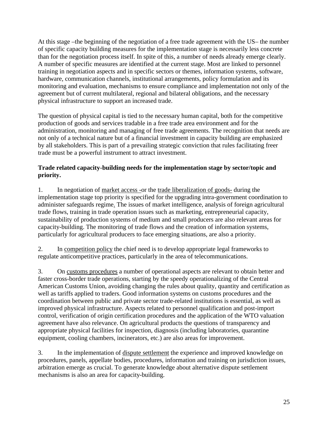At this stage –the beginning of the negotiation of a free trade agreement with the US– the number of specific capacity building measures for the implementation stage is necessarily less concrete than for the negotiation process itself. In spite of this, a number of needs already emerge clearly. A number of specific measures are identified at the current stage. Most are linked to personnel training in negotiation aspects and in specific sectors or themes, information systems, software, hardware, communication channels, institutional arrangements, policy formulation and its monitoring and evaluation, mechanisms to ensure compliance and implementation not only of the agreement but of current multilateral, regional and bilateral obligations, and the necessary physical infrastructure to support an increased trade.

The question of physical capital is tied to the necessary human capital, both for the competitive production of goods and services tradable in a free trade area environment and for the administration, monitoring and managing of free trade agreements. The recognition that needs are not only of a technical nature but of a financial investment in capacity building are emphasized by all stakeholders. This is part of a prevailing strategic conviction that rules facilitating freer trade must be a powerful instrument to attract investment.

#### **Trade related capacity-building needs for the implementation stage by sector/topic and priority.**

1. In negotiation of market access -or the trade liberalization of goods- during the implementation stage top priority is specified for the upgrading intra-government coordination to administer safeguards regime. The issues of market intelligence, analysis of foreign agricultural trade flows, training in trade operation issues such as marketing, entrepreneurial capacity, sustainability of production systems of medium and small producers are also relevant areas for capacity-building. The monitoring of trade flows and the creation of information systems, particularly for agricultural producers to face emerging situations, are also a priority.

2. In competition policy the chief need is to develop appropriate legal frameworks to regulate anticompetitive practices, particularly in the area of telecommunications.

3. On customs procedures a number of operational aspects are relevant to obtain better and faster cross-border trade operations, starting by the speedy operationalizing of the Central American Customs Union, avoiding changing the rules about quality, quantity and certification as well as tariffs applied to traders. Good information systems on customs procedures and the coordination between public and private sector trade-related institutions is essential, as well as improved physical infrastructure. Aspects related to personnel qualification and post-import control, verification of origin certification procedures and the application of the WTO valuation agreement have also relevance. On agricultural products the questions of transparency and appropriate physical facilities for inspection, diagnosis (including laboratories, quarantine equipment, cooling chambers, incinerators, etc.) are also areas for improvement.

3. In the implementation of dispute settlement the experience and improved knowledge on procedures, panels, appellate bodies, procedures, information and training on jurisdiction issues, arbitration emerge as crucial. To generate knowledge about alternative dispute settlement mechanisms is also an area for capacity-building.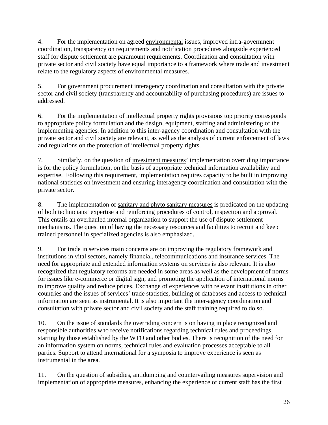4. For the implementation on agreed environmental issues, improved intra-government coordination, transparency on requirements and notification procedures alongside experienced staff for dispute settlement are paramount requirements. Coordination and consultation with private sector and civil society have equal importance to a framework where trade and investment relate to the regulatory aspects of environmental measures.

5. For government procurement interagency coordination and consultation with the private sector and civil society (transparency and accountability of purchasing procedures) are issues to addressed.

6. For the implementation of intellectual property rights provisions top priority corresponds to appropriate policy formulation and the design, equipment, staffing and administering of the implementing agencies. In addition to this inter-agency coordination and consultation with the private sector and civil society are relevant, as well as the analysis of current enforcement of laws and regulations on the protection of intellectual property rights.

7. Similarly, on the question of investment measures' implementation overriding importance is for the policy formulation, on the basis of appropriate technical information availability and expertise. Following this requirement, implementation requires capacity to be built in improving national statistics on investment and ensuring interagency coordination and consultation with the private sector.

8. The implementation of sanitary and phyto sanitary measures is predicated on the updating of both technicians' expertise and reinforcing procedures of control, inspection and approval. This entails an overhauled internal organization to support the use of dispute settlement mechanisms. The question of having the necessary resources and facilities to recruit and keep trained personnel in specialized agencies is also emphasized.

9. For trade in services main concerns are on improving the regulatory framework and institutions in vital sectors, namely financial, telecommunications and insurance services. The need for appropriate and extended information systems on services is also relevant. It is also recognized that regulatory reforms are needed in some areas as well as the development of norms for issues like e-commerce or digital sign, and promoting the application of international norms to improve quality and reduce prices. Exchange of experiences with relevant institutions in other countries and the issues of services' trade statistics, building of databases and access to technical information are seen as instrumental. It is also important the inter-agency coordination and consultation with private sector and civil society and the staff training required to do so.

10. On the issue of standards the overriding concern is on having in place recognized and responsible authorities who receive notifications regarding technical rules and proceedings, starting by those established by the WTO and other bodies. There is recognition of the need for an information system on norms, technical rules and evaluation processes acceptable to all parties. Support to attend international for a symposia to improve experience is seen as instrumental in the area.

11. On the question of subsidies, antidumping and countervailing measures supervision and implementation of appropriate measures, enhancing the experience of current staff has the first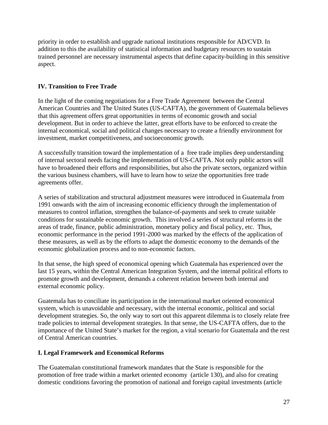priority in order to establish and upgrade national institutions responsible for AD/CVD. In addition to this the availability of statistical information and budgetary resources to sustain trained personnel are necessary instrumental aspects that define capacity-building in this sensitive aspect.

#### **IV. Transition to Free Trade**

In the light of the coming negotiations for a Free Trade Agreement between the Central American Countries and The United States (US-CAFTA), the government of Guatemala believes that this agreement offers great opportunities in terms of economic growth and social development. But in order to achieve the latter, great efforts have to be enforced to create the internal economical, social and political changes necessary to create a friendly environment for investment, market competitiveness, and socioeconomic growth.

A successfully transition toward the implementation of a free trade implies deep understanding of internal sectoral needs facing the implementation of US-CAFTA. Not only public actors will have to broadened their efforts and responsibilities, but also the private sectors, organized within the various business chambers, will have to learn how to seize the opportunities free trade agreements offer.

A series of stabilization and structural adjustment measures were introduced in Guatemala from 1991 onwards with the aim of increasing economic efficiency through the implementation of measures to control inflation, strengthen the balance-of-payments and seek to create suitable conditions for sustainable economic growth. This involved a series of structural reforms in the areas of trade, finance, public administration, monetary policy and fiscal policy, etc. Thus, economic performance in the period 1991-2000 was marked by the effects of the application of these measures, as well as by the efforts to adapt the domestic economy to the demands of the economic globalization process and to non-economic factors.

In that sense, the high speed of economical opening which Guatemala has experienced over the last 15 years, within the Central American Integration System, and the internal political efforts to promote growth and development, demands a coherent relation between both internal and external economic policy.

Guatemala has to conciliate its participation in the international market oriented economical system, which is unavoidable and necessary, with the internal economic, political and social development strategies. So, the only way to sort out this apparent dilemma is to closely relate free trade policies to internal development strategies. In that sense, the US-CAFTA offers, due to the importance of the United State's market for the region, a vital scenario for Guatemala and the rest of Central American countries.

#### **I. Legal Framework and Economical Reforms**

The Guatemalan constitutional framework mandates that the State is responsible for the promotion of free trade within a market oriented economy (article 130), and also for creating domestic conditions favoring the promotion of national and foreign capital investments (article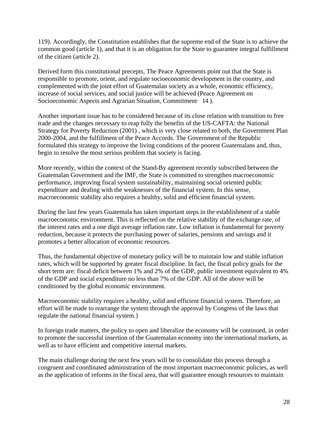119). Accordingly, the Constitution establishes that the supreme end of the State is to achieve the common good (article 1), and that it is an obligation for the State to guarantee integral fulfillment of the citizen (article 2).

Derived form this constitutional precepts, The Peace Agreements point out that the State is responsible to promote, orient, and regulate socioeconomic development in the country, and complemented with the joint effort of Guatemalan society as a whole, economic efficiency, increase of social services, and social justice will be achieved (Peace Agreement on Socioeconomic Aspects and Agrarian Situation, Commitment <sup>14</sup>).

Another important issue has to be considered because of its close relation with transition to free trade and the changes necessary to reap fully the benefits of the US-CAFTA: the National Strategy for Poverty Reduction (2001) , which is very close related to both, the Government Plan 2000-2004, and the fulfillment of the Peace Accords. The Government of the Republic formulated this strategy to improve the living conditions of the poorest Guatemalans and, thus, begin to resolve the most serious problem that society is facing.

More recently, within the context of the Stand-By agreement recently subscribed between the Guatemalan Government and the IMF, the State is committed to strengthen macroeconomic performance, improving fiscal system sustainability, maintaining social oriented public expenditure and dealing with the weaknesses of the financial system. In this sense, macroeconomic stability also requires a healthy, solid and efficient financial system.

During the last few years Guatemala has taken important steps in the establishment of a stable macroeconomic environment. This is reflected on the relative stability of the exchange rate, of the interest rates and a one digit average inflation rate. Low inflation is fundamental for poverty reduction, because it protects the purchasing power of salaries, pensions and savings and it promotes a better allocation of economic resources.

Thus, the fundamental objective of monetary policy will be to maintain low and stable inflation rates, which will be supported by greater fiscal discipline. In fact, the fiscal policy goals for the short term are: fiscal deficit between 1% and 2% of the GDP, public investment equivalent to 4% of the GDP and social expenditure no less than 7% of the GDP. All of the above will be conditioned by the global economic environment.

Macroeconomic stability requires a healthy, solid and efficient financial system. Therefore, an effort will be made to rearrange the system through the approval by Congress of the laws that regulate the national financial system.}

In foreign trade matters, the policy to open and liberalize the economy will be continued, in order to promote the successful insertion of the Guatemalan economy into the international markets, as well as to have efficient and competitive internal markets.

The main challenge during the next few years will be to consolidate this process through a congruent and coordinated administration of the most important macroeconomic policies, as well as the application of reforms in the fiscal area, that will guarantee enough resources to maintain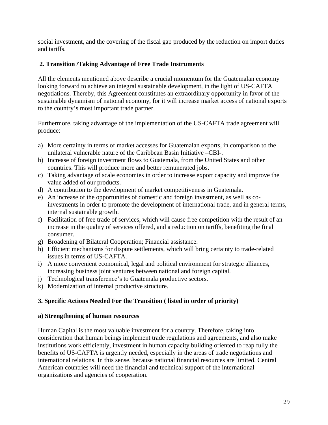social investment, and the covering of the fiscal gap produced by the reduction on import duties and tariffs.

### **2. Transition /Taking Advantage of Free Trade Instruments**

All the elements mentioned above describe a crucial momentum for the Guatemalan economy looking forward to achieve an integral sustainable development, in the light of US-CAFTA negotiations. Thereby, this Agreement constitutes an extraordinary opportunity in favor of the sustainable dynamism of national economy, for it will increase market access of national exports to the country's most important trade partner.

Furthermore, taking advantage of the implementation of the US-CAFTA trade agreement will produce:

- a) More certainty in terms of market accesses for Guatemalan exports, in comparison to the unilateral vulnerable nature of the Caribbean Basin Initiative –CBI-.
- b) Increase of foreign investment flows to Guatemala, from the United States and other countries. This will produce more and better remunerated jobs.
- c) Taking advantage of scale economies in order to increase export capacity and improve the value added of our products.
- d) A contribution to the development of market competitiveness in Guatemala.
- e) An increase of the opportunities of domestic and foreign investment, as well as coinvestments in order to promote the development of international trade, and in general terms, internal sustainable growth.
- f) Facilitation of free trade of services, which will cause free competition with the result of an increase in the quality of services offered, and a reduction on tariffs, benefiting the final consumer.
- g) Broadening of Bilateral Cooperation; Financial assistance.
- h) Efficient mechanisms for dispute settlements, which will bring certainty to trade-related issues in terms of US-CAFTA.
- i) A more convenient economical, legal and political environment for strategic alliances, increasing business joint ventures between national and foreign capital.
- j) Technological transference's to Guatemala productive sectors.
- k) Modernization of internal productive structure.

#### **3. Specific Actions Needed For the Transition ( listed in order of priority)**

#### **a) Strengthening of human resources**

Human Capital is the most valuable investment for a country. Therefore, taking into consideration that human beings implement trade regulations and agreements, and also make institutions work efficiently, investment in human capacity building oriented to reap fully the benefits of US-CAFTA is urgently needed, especially in the areas of trade negotiations and international relations. In this sense, because national financial resources are limited, Central American countries will need the financial and technical support of the international organizations and agencies of cooperation.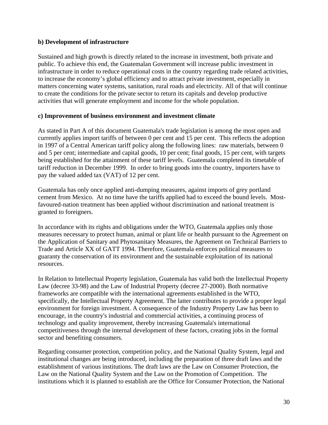#### **b) Development of infrastructure**

Sustained and high growth is directly related to the increase in investment, both private and public. To achieve this end, the Guatemalan Government will increase public investment in infrastructure in order to reduce operational costs in the country regarding trade related activities, to increase the economy's global efficiency and to attract private investment, especially in matters concerning water systems, sanitation, rural roads and electricity. All of that will continue to create the conditions for the private sector to return its capitals and develop productive activities that will generate employment and income for the whole population.

#### **c) Improvement of business environment and investment climate**

As stated in Part A of this document Guatemala's trade legislation is among the most open and currently applies import tariffs of between 0 per cent and 15 per cent. This reflects the adoption in 1997 of a Central American tariff policy along the following lines: raw materials, between 0 and 5 per cent; intermediate and capital goods, 10 per cent; final goods, 15 per cent, with targets being established for the attainment of these tariff levels. Guatemala completed its timetable of tariff reduction in December 1999. In order to bring goods into the country, importers have to pay the valued added tax (VAT) of 12 per cent.

Guatemala has only once applied anti-dumping measures, against imports of grey portland cement from Mexico. At no time have the tariffs applied had to exceed the bound levels. Mostfavoured-nation treatment has been applied without discrimination and national treatment is granted to foreigners.

In accordance with its rights and obligations under the WTO, Guatemala applies only those measures necessary to protect human, animal or plant life or health pursuant to the Agreement on the Application of Sanitary and Phytosanitary Measures, the Agreement on Technical Barriers to Trade and Article XX of GATT 1994. Therefore, Guatemala enforces political measures to guaranty the conservation of its environment and the sustainable exploitation of its national resources.

In Relation to Intellectual Property legislation, Guatemala has valid both the Intellectual Property Law (decree 33-98) and the Law of Industrial Property (decree 27-2000). Both normative frameworks are compatible with the international agreements established in the WTO, specifically, the Intellectual Property Agreement. The latter contributes to provide a proper legal environment for foreign investment. A consequence of the Industry Property Law has been to encourage, in the country's industrial and commercial activities, a continuing process of technology and quality improvement, thereby increasing Guatemala's international competitiveness through the internal development of these factors, creating jobs in the formal sector and benefiting consumers.

Regarding consumer protection, competition policy, and the National Quality System, legal and institutional changes are being introduced, including the preparation of three draft laws and the establishment of various institutions. The draft laws are the Law on Consumer Protection, the Law on the National Quality System and the Law on the Promotion of Competition. The institutions which it is planned to establish are the Office for Consumer Protection, the National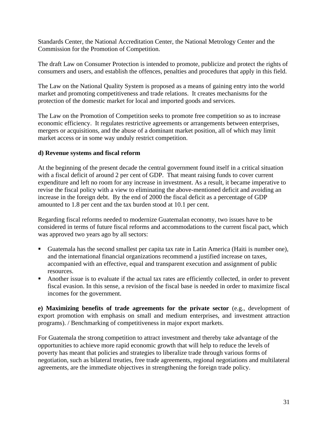Standards Center, the National Accreditation Center, the National Metrology Center and the Commission for the Promotion of Competition.

The draft Law on Consumer Protection is intended to promote, publicize and protect the rights of consumers and users, and establish the offences, penalties and procedures that apply in this field.

The Law on the National Quality System is proposed as a means of gaining entry into the world market and promoting competitiveness and trade relations. It creates mechanisms for the protection of the domestic market for local and imported goods and services.

The Law on the Promotion of Competition seeks to promote free competition so as to increase economic efficiency. It regulates restrictive agreements or arrangements between enterprises, mergers or acquisitions, and the abuse of a dominant market position, all of which may limit market access or in some way unduly restrict competition.

#### **d) Revenue systems and fiscal reform**

At the beginning of the present decade the central government found itself in a critical situation with a fiscal deficit of around 2 per cent of GDP. That meant raising funds to cover current expenditure and left no room for any increase in investment. As a result, it became imperative to revise the fiscal policy with a view to eliminating the above-mentioned deficit and avoiding an increase in the foreign debt. By the end of 2000 the fiscal deficit as a percentage of GDP amounted to 1.8 per cent and the tax burden stood at 10.1 per cent.

Regarding fiscal reforms needed to modernize Guatemalan economy, two issues have to be considered in terms of future fiscal reforms and accommodations to the current fiscal pact, which was approved two years ago by all sectors:

- Guatemala has the second smallest per capita tax rate in Latin America (Haiti is number one), and the international financial organizations recommend a justified increase on taxes, accompanied with an effective, equal and transparent execution and assignment of public resources.
- Another issue is to evaluate if the actual tax rates are efficiently collected, in order to prevent fiscal evasion. In this sense, a revision of the fiscal base is needed in order to maximize fiscal incomes for the government.

**e) Maximizing benefits of trade agreements for the private sector** (e.g., development of export promotion with emphasis on small and medium enterprises, and investment attraction programs). / Benchmarking of competitiveness in major export markets.

For Guatemala the strong competition to attract investment and thereby take advantage of the opportunities to achieve more rapid economic growth that will help to reduce the levels of poverty has meant that policies and strategies to liberalize trade through various forms of negotiation, such as bilateral treaties, free trade agreements, regional negotiations and multilateral agreements, are the immediate objectives in strengthening the foreign trade policy.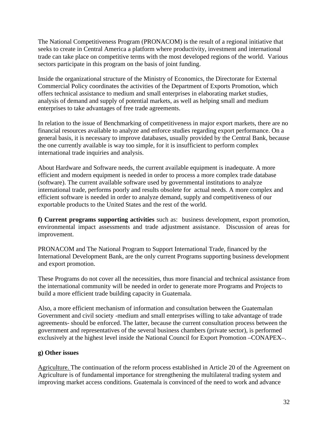The National Competitiveness Program (PRONACOM) is the result of a regional initiative that seeks to create in Central America a platform where productivity, investment and international trade can take place on competitive terms with the most developed regions of the world. Various sectors participate in this program on the basis of joint funding.

Inside the organizational structure of the Ministry of Economics, the Directorate for External Commercial Policy coordinates the activities of the Department of Exports Promotion, which offers technical assistance to medium and small enterprises in elaborating market studies, analysis of demand and supply of potential markets, as well as helping small and medium enterprises to take advantages of free trade agreements.

In relation to the issue of Benchmarking of competitiveness in major export markets, there are no financial resources available to analyze and enforce studies regarding export performance. On a general basis, it is necessary to improve databases, usually provided by the Central Bank, because the one currently available is way too simple, for it is insufficient to perform complex international trade inquiries and analysis.

About Hardware and Software needs, the current available equipment is inadequate. A more efficient and modern equipment is needed in order to process a more complex trade database (software). The current available software used by governmental institutions to analyze international trade, performs poorly and results obsolete for actual needs. A more complex and efficient software is needed in order to analyze demand, supply and competitiveness of our exportable products to the United States and the rest of the world.

**f) Current programs supporting activities** such as: business development, export promotion, environmental impact assessments and trade adjustment assistance. Discussion of areas for improvement.

PRONACOM and The National Program to Support International Trade, financed by the International Development Bank, are the only current Programs supporting business development and export promotion.

These Programs do not cover all the necessities, thus more financial and technical assistance from the international community will be needed in order to generate more Programs and Projects to build a more efficient trade building capacity in Guatemala.

Also, a more efficient mechanism of information and consultation between the Guatemalan Government and civil society -medium and small enterprises willing to take advantage of trade agreements- should be enforced. The latter, because the current consultation process between the government and representatives of the several business chambers (private sector), is performed exclusively at the highest level inside the National Council for Export Promotion –CONAPEX–.

#### **g) Other issues**

Agriculture. The continuation of the reform process established in Article 20 of the Agreement on Agriculture is of fundamental importance for strengthening the multilateral trading system and improving market access conditions. Guatemala is convinced of the need to work and advance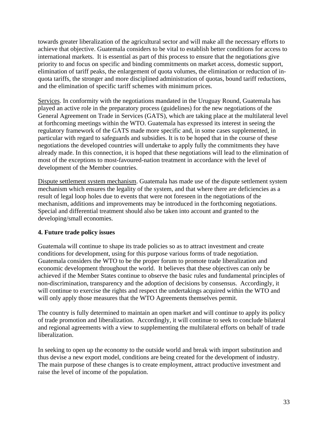towards greater liberalization of the agricultural sector and will make all the necessary efforts to achieve that objective. Guatemala considers to be vital to establish better conditions for access to international markets. It is essential as part of this process to ensure that the negotiations give priority to and focus on specific and binding commitments on market access, domestic support, elimination of tariff peaks, the enlargement of quota volumes, the elimination or reduction of inquota tariffs, the stronger and more disciplined administration of quotas, bound tariff reductions, and the elimination of specific tariff schemes with minimum prices.

Services. In conformity with the negotiations mandated in the Uruguay Round, Guatemala has played an active role in the preparatory process (guidelines) for the new negotiations of the General Agreement on Trade in Services (GATS), which are taking place at the multilateral level at forthcoming meetings within the WTO. Guatemala has expressed its interest in seeing the regulatory framework of the GATS made more specific and, in some cases supplemented, in particular with regard to safeguards and subsidies. It is to be hoped that in the course of these negotiations the developed countries will undertake to apply fully the commitments they have already made. In this connection, it is hoped that these negotiations will lead to the elimination of most of the exceptions to most-favoured-nation treatment in accordance with the level of development of the Member countries.

Dispute settlement system mechanism. Guatemala has made use of the dispute settlement system mechanism which ensures the legality of the system, and that where there are deficiencies as a result of legal loop holes due to events that were not foreseen in the negotiations of the mechanism, additions and improvements may be introduced in the forthcoming negotiations. Special and differential treatment should also be taken into account and granted to the developing/small economies.

#### **4. Future trade policy issues**

Guatemala will continue to shape its trade policies so as to attract investment and create conditions for development, using for this purpose various forms of trade negotiation. Guatemala considers the WTO to be the proper forum to promote trade liberalization and economic development throughout the world. It believes that these objectives can only be achieved if the Member States continue to observe the basic rules and fundamental principles of non-discrimination, transparency and the adoption of decisions by consensus. Accordingly, it will continue to exercise the rights and respect the undertakings acquired within the WTO and will only apply those measures that the WTO Agreements themselves permit.

The country is fully determined to maintain an open market and will continue to apply its policy of trade promotion and liberalization. Accordingly, it will continue to seek to conclude bilateral and regional agreements with a view to supplementing the multilateral efforts on behalf of trade liberalization.

In seeking to open up the economy to the outside world and break with import substitution and thus devise a new export model, conditions are being created for the development of industry. The main purpose of these changes is to create employment, attract productive investment and raise the level of income of the population.